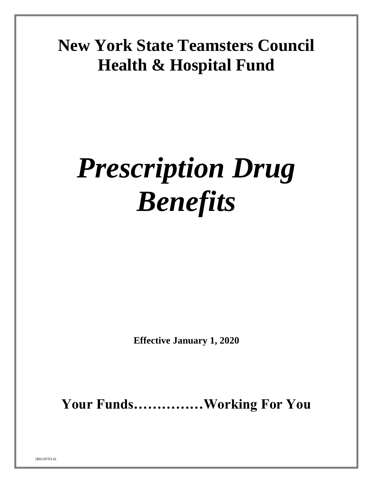# **New York State Teamsters Council Health & Hospital Fund**

# *Prescription Drug Benefits*

**Effective January 1, 2020**

**Your Funds……………Working For You**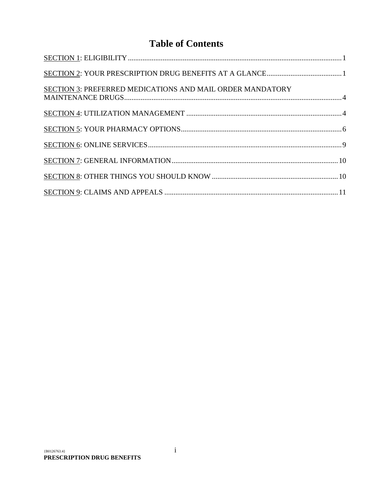# **Table of Contents**

| SECTION 3: PREFERRED MEDICATIONS AND MAIL ORDER MANDATORY |  |
|-----------------------------------------------------------|--|
|                                                           |  |
|                                                           |  |
|                                                           |  |
|                                                           |  |
|                                                           |  |
|                                                           |  |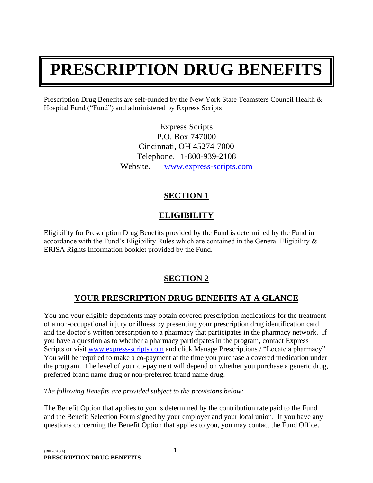# **PRESCRIPTION DRUG BENEFITS**

Prescription Drug Benefits are self-funded by the New York State Teamsters Council Health & Hospital Fund ("Fund") and administered by Express Scripts

> Express Scripts P.O. Box 747000 Cincinnati, OH 45274-7000 Telephone: 1-800-939-2108 Website: [www.express-scripts.com](http://www.express-scripts.com/)

# **SECTION 1**

# **ELIGIBILITY**

<span id="page-2-0"></span>Eligibility for Prescription Drug Benefits provided by the Fund is determined by the Fund in accordance with the Fund's Eligibility Rules which are contained in the General Eligibility & ERISA Rights Information booklet provided by the Fund.

# **SECTION 2**

# **YOUR PRESCRIPTION DRUG BENEFITS AT A GLANCE**

<span id="page-2-1"></span>You and your eligible dependents may obtain covered prescription medications for the treatment of a non-occupational injury or illness by presenting your prescription drug identification card and the doctor's written prescription to a pharmacy that participates in the pharmacy network. If you have a question as to whether a pharmacy participates in the program, contact Express Scripts or visit [www.express-scripts.com](http://www.express-scripts.com/) and click Manage Prescriptions / "Locate a pharmacy". You will be required to make a co-payment at the time you purchase a covered medication under the program. The level of your co-payment will depend on whether you purchase a generic drug, preferred brand name drug or non-preferred brand name drug.

*The following Benefits are provided subject to the provisions below:*

The Benefit Option that applies to you is determined by the contribution rate paid to the Fund and the Benefit Selection Form signed by your employer and your local union. If you have any questions concerning the Benefit Option that applies to you, you may contact the Fund Office.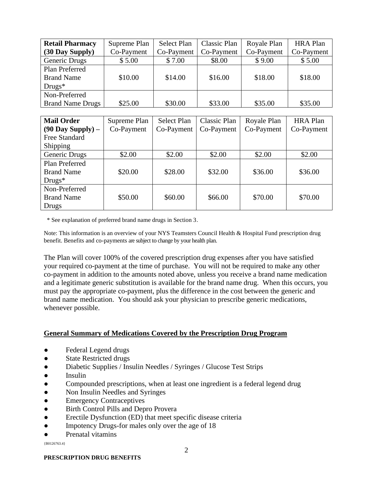| <b>Retail Pharmacy</b>  | Supreme Plan | Select Plan | Classic Plan | Royale Plan | <b>HRA Plan</b> |
|-------------------------|--------------|-------------|--------------|-------------|-----------------|
| (30 Day Supply)         | Co-Payment   | Co-Payment  | Co-Payment   | Co-Payment  | Co-Payment      |
| Generic Drugs           | \$5.00       | \$7.00      | \$8.00       | \$9.00      | \$5.00          |
| Plan Preferred          |              |             |              |             |                 |
| <b>Brand Name</b>       | \$10.00      | \$14.00     | \$16.00      | \$18.00     | \$18.00         |
| $Drugs*$                |              |             |              |             |                 |
| Non-Preferred           |              |             |              |             |                 |
| <b>Brand Name Drugs</b> | \$25.00      | \$30.00     | \$33.00      | \$35.00     | \$35.00         |

| <b>Mail Order</b>      | Supreme Plan | <b>Select Plan</b> | Classic Plan | Royale Plan | <b>HRA</b> Plan |
|------------------------|--------------|--------------------|--------------|-------------|-----------------|
| $(90$ Day Supply $)$ – | Co-Payment   | Co-Payment         | Co-Payment   | Co-Payment  | Co-Payment      |
| Free Standard          |              |                    |              |             |                 |
| <b>Shipping</b>        |              |                    |              |             |                 |
| Generic Drugs          | \$2.00       | \$2.00             | \$2.00       | \$2.00      | \$2.00          |
| Plan Preferred         |              |                    |              |             |                 |
| <b>Brand Name</b>      | \$20.00      | \$28.00            | \$32.00      | \$36.00     | \$36.00         |
| $Drugs*$               |              |                    |              |             |                 |
| Non-Preferred          |              |                    |              |             |                 |
| <b>Brand Name</b>      | \$50.00      | \$60.00            | \$66.00      | \$70.00     | \$70.00         |
| Drugs                  |              |                    |              |             |                 |

\* See explanation of preferred brand name drugs in Section 3.

Note: This information is an overview of your NYS Teamsters Council Health & Hospital Fund prescription drug benefit. Benefits and co-payments are subject to change by your health plan.

The Plan will cover 100% of the covered prescription drug expenses after you have satisfied your required co-payment at the time of purchase. You will not be required to make any other co-payment in addition to the amounts noted above, unless you receive a brand name medication and a legitimate generic substitution is available for the brand name drug. When this occurs, you must pay the appropriate co-payment, plus the difference in the cost between the generic and brand name medication. You should ask your physician to prescribe generic medications, whenever possible.

#### **General Summary of Medications Covered by the Prescription Drug Program**

- Federal Legend drugs
- State Restricted drugs
- Diabetic Supplies / Insulin Needles / Syringes / Glucose Test Strips
- Insulin
- Compounded prescriptions, when at least one ingredient is a federal legend drug
- Non Insulin Needles and Syringes
- Emergency Contraceptives
- Birth Control Pills and Depro Provera
- Erectile Dysfunction (ED) that meet specific disease criteria
- Impotency Drugs-for males only over the age of 18
- Prenatal vitamins

{B0126763.4}

#### **PRESCRIPTION DRUG BENEFITS**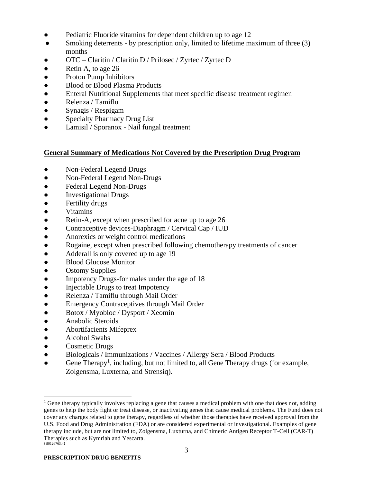- Pediatric Fluoride vitamins for dependent children up to age 12
- Smoking deterrents by prescription only, limited to lifetime maximum of three (3) months
- OTC Claritin / Claritin D / Prilosec / Zyrtec / Zyrtec D
- Retin A, to age 26
- Proton Pump Inhibitors
- Blood or Blood Plasma Products
- Enteral Nutritional Supplements that meet specific disease treatment regimen
- Relenza / Tamiflu
- Synagis / Respigam
- Specialty Pharmacy Drug List
- Lamisil / Sporanox Nail fungal treatment

#### **General Summary of Medications Not Covered by the Prescription Drug Program**

- Non-Federal Legend Drugs
- Non-Federal Legend Non-Drugs
- Federal Legend Non-Drugs
- Investigational Drugs
- Fertility drugs
- Vitamins
- Retin-A, except when prescribed for acne up to age 26
- Contraceptive devices-Diaphragm / Cervical Cap / IUD
- Anorexics or weight control medications
- Rogaine, except when prescribed following chemotherapy treatments of cancer
- Adderall is only covered up to age 19
- Blood Glucose Monitor
- Ostomy Supplies
- Impotency Drugs-for males under the age of 18
- Injectable Drugs to treat Impotency
- Relenza / Tamiflu through Mail Order
- Emergency Contraceptives through Mail Order
- Botox / Myobloc / Dysport / Xeomin
- Anabolic Steroids
- Abortifacients Mifeprex
- Alcohol Swabs
- Cosmetic Drugs
- Biologicals / Immunizations / Vaccines / Allergy Sera / Blood Products
- Gene Therapy<sup>1</sup>, including, but not limited to, all Gene Therapy drugs (for example, Zolgensma, Luxterna, and Strensiq).

<sup>{</sup>B0126763.4} <sup>1</sup> Gene therapy typically involves replacing a gene that causes a medical problem with one that does not, adding genes to help the body fight or treat disease, or inactivating genes that cause medical problems. The Fund does not cover any charges related to gene therapy, regardless of whether those therapies have received approval from the U.S. Food and Drug Administration (FDA) or are considered experimental or investigational. Examples of gene therapy include, but are not limited to, Zolgensma, Luxturna, and Chimeric Antigen Receptor T-Cell (CAR-T) Therapies such as Kymriah and Yescarta.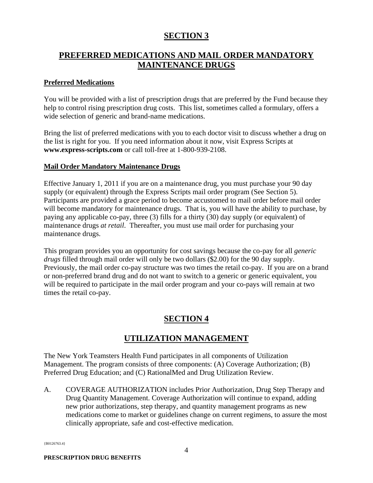# **SECTION 3**

# <span id="page-5-0"></span>**PREFERRED MEDICATIONS AND MAIL ORDER MANDATORY MAINTENANCE DRUGS**

#### **Preferred Medications**

You will be provided with a list of prescription drugs that are preferred by the Fund because they help to control rising prescription drug costs. This list, sometimes called a formulary, offers a wide selection of generic and brand-name medications.

Bring the list of preferred medications with you to each doctor visit to discuss whether a drug on the list is right for you. If you need information about it now, visit Express Scripts at **www.express-scripts.com** or call toll-free at 1-800-939-2108.

#### **Mail Order Mandatory Maintenance Drugs**

Effective January 1, 2011 if you are on a maintenance drug, you must purchase your 90 day supply (or equivalent) through the Express Scripts mail order program (See Section 5). Participants are provided a grace period to become accustomed to mail order before mail order will become mandatory for maintenance drugs. That is, you will have the ability to purchase, by paying any applicable co-pay, three (3) fills for a thirty (30) day supply (or equivalent) of maintenance drugs *at retail*. Thereafter, you must use mail order for purchasing your maintenance drugs.

This program provides you an opportunity for cost savings because the co-pay for all *generic drugs* filled through mail order will only be two dollars (\$2.00) for the 90 day supply. Previously, the mail order co-pay structure was two times the retail co-pay. If you are on a brand or non-preferred brand drug and do not want to switch to a generic or generic equivalent, you will be required to participate in the mail order program and your co-pays will remain at two times the retail co-pay.

# **SECTION 4**

# **UTILIZATION MANAGEMENT**

<span id="page-5-1"></span>The New York Teamsters Health Fund participates in all components of Utilization Management. The program consists of three components: (A) Coverage Authorization; (B) Preferred Drug Education; and (C) RationalMed and Drug Utilization Review.

A. COVERAGE AUTHORIZATION includes Prior Authorization, Drug Step Therapy and Drug Quantity Management. Coverage Authorization will continue to expand, adding new prior authorizations, step therapy, and quantity management programs as new medications come to market or guidelines change on current regimens, to assure the most clinically appropriate, safe and cost-effective medication.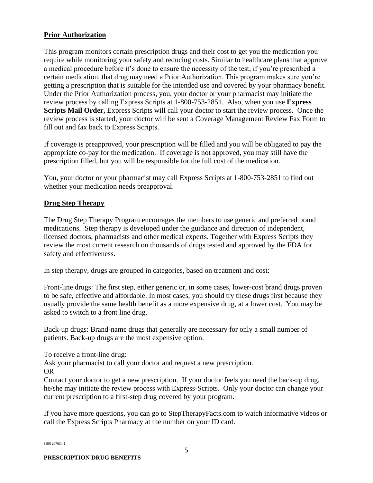#### **Prior Authorization**

This program monitors certain prescription drugs and their cost to get you the medication you require while monitoring your safety and reducing costs. Similar to healthcare plans that approve a medical procedure before it's done to ensure the necessity of the test, if you're prescribed a certain medication, that drug may need a Prior Authorization. This program makes sure you're getting a prescription that is suitable for the intended use and covered by your pharmacy benefit. Under the Prior Authorization process, you, your doctor or your pharmacist may initiate the review process by calling Express Scripts at 1-800-753-2851. Also, when you use **Express Scripts Mail Order,** Express Scripts will call your doctor to start the review process. Once the review process is started, your doctor will be sent a Coverage Management Review Fax Form to fill out and fax back to Express Scripts.

If coverage is preapproved, your prescription will be filled and you will be obligated to pay the appropriate co-pay for the medication. If coverage is not approved, you may still have the prescription filled, but you will be responsible for the full cost of the medication.

You, your doctor or your pharmacist may call Express Scripts at 1-800-753-2851 to find out whether your medication needs preapproval.

#### **Drug Step Therapy**

The Drug Step Therapy Program encourages the members to use generic and preferred brand medications. Step therapy is developed under the guidance and direction of independent, licensed doctors, pharmacists and other medical experts. Together with Express Scripts they review the most current research on thousands of drugs tested and approved by the FDA for safety and effectiveness.

In step therapy, drugs are grouped in categories, based on treatment and cost:

Front-line drugs: The first step, either generic or, in some cases, lower-cost brand drugs proven to be safe, effective and affordable. In most cases, you should try these drugs first because they usually provide the same health benefit as a more expensive drug, at a lower cost. You may be asked to switch to a front line drug.

Back-up drugs: Brand-name drugs that generally are necessary for only a small number of patients. Back-up drugs are the most expensive option.

To receive a front-line drug:

Ask your pharmacist to call your doctor and request a new prescription. OR

Contact your doctor to get a new prescription. If your doctor feels you need the back-up drug, he/she may initiate the review process with Express-Scripts. Only your doctor can change your current prescription to a first-step drug covered by your program.

If you have more questions, you can go to StepTherapyFacts.com to watch informative videos or call the Express Scripts Pharmacy at the number on your ID card.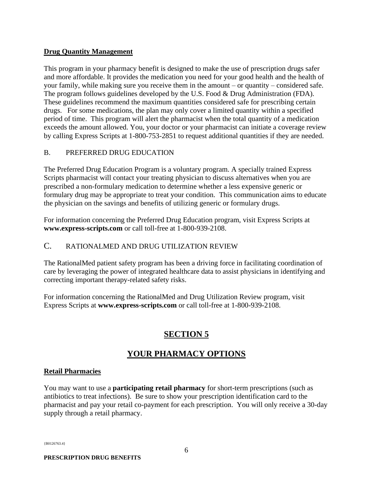#### **Drug Quantity Management**

This program in your pharmacy benefit is designed to make the use of prescription drugs safer and more affordable. It provides the medication you need for your good health and the health of your family, while making sure you receive them in the amount – or quantity – considered safe. The program follows guidelines developed by the U.S. Food & Drug Administration (FDA). These guidelines recommend the maximum quantities considered safe for prescribing certain drugs. For some medications, the plan may only cover a limited quantity within a specified period of time. This program will alert the pharmacist when the total quantity of a medication exceeds the amount allowed. You, your doctor or your pharmacist can initiate a coverage review by calling Express Scripts at 1-800-753-2851 to request additional quantities if they are needed.

#### B. PREFERRED DRUG EDUCATION

The Preferred Drug Education Program is a voluntary program. A specially trained Express Scripts pharmacist will contact your treating physician to discuss alternatives when you are prescribed a non-formulary medication to determine whether a less expensive generic or formulary drug may be appropriate to treat your condition. This communication aims to educate the physician on the savings and benefits of utilizing generic or formulary drugs.

For information concerning the Preferred Drug Education program, visit Express Scripts at **www.express-scripts.com** or call toll-free at 1-800-939-2108.

#### C. RATIONALMED AND DRUG UTILIZATION REVIEW

The RationalMed patient safety program has been a driving force in facilitating coordination of care by leveraging the power of integrated healthcare data to assist physicians in identifying and correcting important therapy-related safety risks.

For information concerning the RationalMed and Drug Utilization Review program, visit Express Scripts at **www.express-scripts.com** or call toll-free at 1-800-939-2108.

# **SECTION 5**

# **YOUR PHARMACY OPTIONS**

#### <span id="page-7-0"></span>**Retail Pharmacies**

You may want to use a **participating retail pharmacy** for short-term prescriptions (such as antibiotics to treat infections). Be sure to show your prescription identification card to the pharmacist and pay your retail co-payment for each prescription. You will only receive a 30-day supply through a retail pharmacy.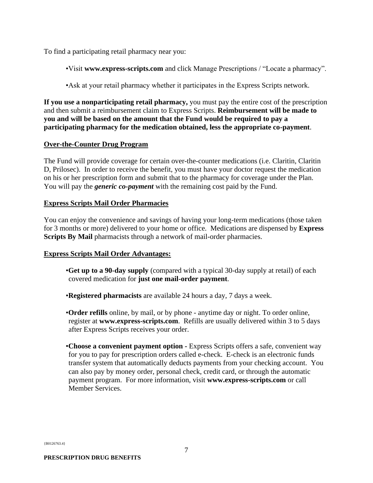To find a participating retail pharmacy near you:

•Visit **www.express-scripts.com** and click Manage Prescriptions / "Locate a pharmacy".

•Ask at your retail pharmacy whether it participates in the Express Scripts network.

**If you use a nonparticipating retail pharmacy,** you must pay the entire cost of the prescription and then submit a reimbursement claim to Express Scripts. **Reimbursement will be made to you and will be based on the amount that the Fund would be required to pay a participating pharmacy for the medication obtained, less the appropriate co-payment**.

#### **Over-the-Counter Drug Program**

The Fund will provide coverage for certain over-the-counter medications (i.e. Claritin, Claritin D, Prilosec). In order to receive the benefit, you must have your doctor request the medication on his or her prescription form and submit that to the pharmacy for coverage under the Plan. You will pay the *generic co-payment* with the remaining cost paid by the Fund.

#### **Express Scripts Mail Order Pharmacies**

You can enjoy the convenience and savings of having your long-term medications (those taken for 3 months or more) delivered to your home or office. Medications are dispensed by **Express Scripts By Mail** pharmacists through a network of mail-order pharmacies.

#### **Express Scripts Mail Order Advantages:**

- •**Get up to a 90-day supply** (compared with a typical 30-day supply at retail) of each covered medication for **just one mail-order payment**.
- •**Registered pharmacists** are available 24 hours a day, 7 days a week.
- •**Order refills** online, by mail, or by phone anytime day or night. To order online, register at **www.express-scripts.com**. Refills are usually delivered within 3 to 5 days after Express Scripts receives your order.
- •**Choose a convenient payment option -** Express Scripts offers a safe, convenient way for you to pay for prescription orders called e-check. E-check is an electronic funds transfer system that automatically deducts payments from your checking account. You can also pay by money order, personal check, credit card, or through the automatic payment program. For more information, visit **www.express-scripts.com** or call Member Services.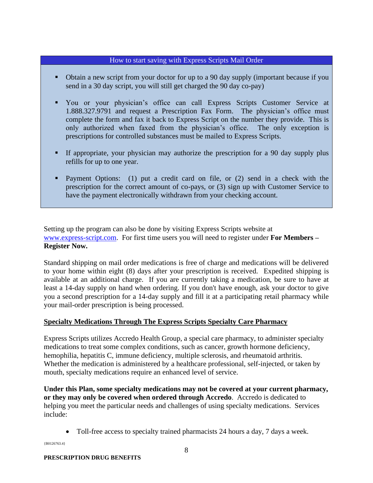#### How to start saving with Express Scripts Mail Order

- Obtain a new script from your doctor for up to a 90 day supply (important because if you send in a 30 day script, you will still get charged the 90 day co-pay)
- You or your physician's office can call Express Scripts Customer Service at 1.888.327.9791 and request a Prescription Fax Form. The physician's office must complete the form and fax it back to Express Script on the number they provide. This is only authorized when faxed from the physician's office. The only exception is prescriptions for controlled substances must be mailed to Express Scripts.
- If appropriate, your physician may authorize the prescription for a 90 day supply plus refills for up to one year.
- Payment Options: (1) put a credit card on file, or (2) send in a check with the prescription for the correct amount of co-pays, or (3) sign up with Customer Service to have the payment electronically withdrawn from your checking account.

Setting up the program can also be done by visiting Express Scripts website at [www.express-script.com.](http://www.express-script.com/) For first time users you will need to register under **For Members – Register Now.**

Standard shipping on mail order medications is free of charge and medications will be delivered to your home within eight (8) days after your prescription is received. Expedited shipping is available at an additional charge. If you are currently taking a medication, be sure to have at least a 14-day supply on hand when ordering. If you don't have enough, ask your doctor to give you a second prescription for a 14-day supply and fill it at a participating retail pharmacy while your mail-order prescription is being processed.

#### **Specialty Medications Through The Express Scripts Specialty Care Pharmacy**

Express Scripts utilizes Accredo Health Group, a special care pharmacy, to administer specialty medications to treat some complex conditions, such as cancer, growth hormone deficiency, hemophilia, hepatitis C, immune deficiency, multiple sclerosis, and rheumatoid arthritis. Whether the medication is administered by a healthcare professional, self-injected, or taken by mouth, specialty medications require an enhanced level of service.

**Under this Plan, some specialty medications may not be covered at your current pharmacy, or they may only be covered when ordered through Accredo**. Accredo is dedicated to helping you meet the particular needs and challenges of using specialty medications. Services include:

• Toll-free access to specialty trained pharmacists 24 hours a day, 7 days a week.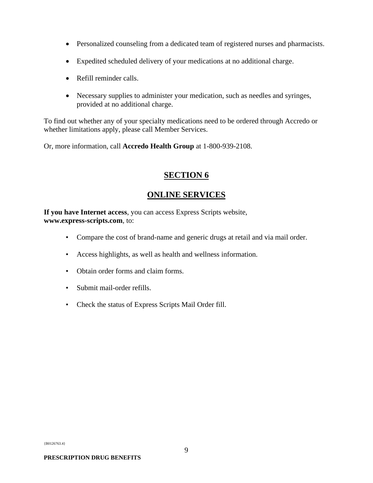- Personalized counseling from a dedicated team of registered nurses and pharmacists.
- Expedited scheduled delivery of your medications at no additional charge.
- Refill reminder calls.
- Necessary supplies to administer your medication, such as needles and syringes, provided at no additional charge.

To find out whether any of your specialty medications need to be ordered through Accredo or whether limitations apply, please call Member Services.

Or, more information, call **Accredo Health Group** at 1-800-939-2108.

## **SECTION 6**

## **ONLINE SERVICES**

<span id="page-10-0"></span>**If you have Internet access**, you can access Express Scripts website, **www.express-scripts.com**, to:

- Compare the cost of brand-name and generic drugs at retail and via mail order.
- Access highlights, as well as health and wellness information.
- Obtain order forms and claim forms.
- Submit mail-order refills.
- Check the status of Express Scripts Mail Order fill.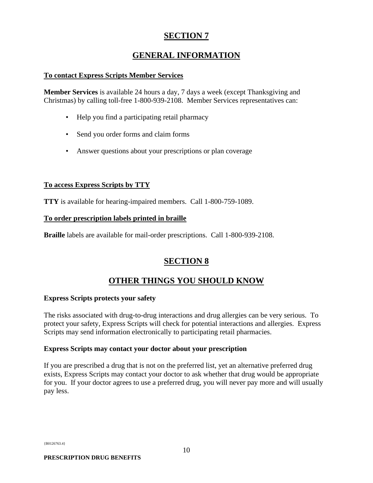# **SECTION 7**

# **GENERAL INFORMATION**

#### <span id="page-11-0"></span>**To contact Express Scripts Member Services**

**Member Services** is available 24 hours a day, 7 days a week (except Thanksgiving and Christmas) by calling toll-free 1-800-939-2108. Member Services representatives can:

- Help you find a participating retail pharmacy
- Send you order forms and claim forms
- Answer questions about your prescriptions or plan coverage

#### **To access Express Scripts by TTY**

**TTY** is available for hearing-impaired members. Call 1-800-759-1089.

#### **To order prescription labels printed in braille**

**Braille** labels are available for mail-order prescriptions. Call 1-800-939-2108.

# **SECTION 8**

# **OTHER THINGS YOU SHOULD KNOW**

#### <span id="page-11-1"></span>**Express Scripts protects your safety**

The risks associated with drug-to-drug interactions and drug allergies can be very serious. To protect your safety, Express Scripts will check for potential interactions and allergies. Express Scripts may send information electronically to participating retail pharmacies.

#### **Express Scripts may contact your doctor about your prescription**

If you are prescribed a drug that is not on the preferred list, yet an alternative preferred drug exists, Express Scripts may contact your doctor to ask whether that drug would be appropriate for you. If your doctor agrees to use a preferred drug, you will never pay more and will usually pay less.